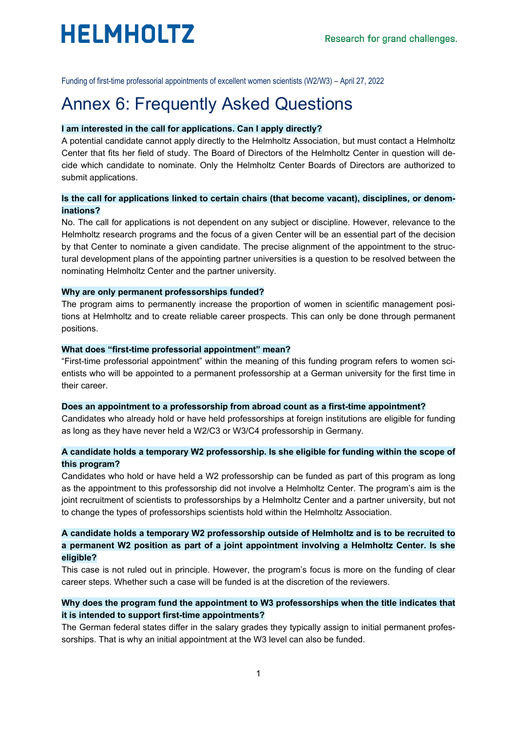

Funding of first-time professorial appointments of excellent women scientists (W2/W3) – April 27, 2022

# Annex 6: Frequently Asked Questions

#### **I am interested in the call for applications. Can I apply directly?**

A potential candidate cannot apply directly to the Helmholtz Association, but must contact a Helmholtz Center that fits her field of study. The Board of Directors of the Helmholtz Center in question will decide which candidate to nominate. Only the Helmholtz Center Boards of Directors are authorized to submit applications.

## **Is the call for applications linked to certain chairs (that become vacant), disciplines, or denominations?**

No. The call for applications is not dependent on any subject or discipline. However, relevance to the Helmholtz research programs and the focus of a given Center will be an essential part of the decision by that Center to nominate a given candidate. The precise alignment of the appointment to the structural development plans of the appointing partner universities is a question to be resolved between the nominating Helmholtz Center and the partner university.

#### **Why are only permanent professorships funded?**

The program aims to permanently increase the proportion of women in scientific management positions at Helmholtz and to create reliable career prospects. This can only be done through permanent positions.

#### **What does "first-time professorial appointment" mean?**

"First-time professorial appointment" within the meaning of this funding program refers to women scientists who will be appointed to a permanent professorship at a German university for the first time in their career.

#### **Does an appointment to a professorship from abroad count as a first-time appointment?**

Candidates who already hold or have held professorships at foreign institutions are eligible for funding as long as they have never held a W2/C3 or W3/C4 professorship in Germany.

#### **A candidate holds a temporary W2 professorship. Is she eligible for funding within the scope of this program?**

Candidates who hold or have held a W2 professorship can be funded as part of this program as long as the appointment to this professorship did not involve a Helmholtz Center. The program's aim is the joint recruitment of scientists to professorships by a Helmholtz Center and a partner university, but not to change the types of professorships scientists hold within the Helmholtz Association.

## **A candidate holds a temporary W2 professorship outside of Helmholtz and is to be recruited to a permanent W2 position as part of a joint appointment involving a Helmholtz Center. Is she eligible?**

This case is not ruled out in principle. However, the program's focus is more on the funding of clear career steps. Whether such a case will be funded is at the discretion of the reviewers.

# **Why does the program fund the appointment to W3 professorships when the title indicates that it is intended to support first-time appointments?**

The German federal states differ in the salary grades they typically assign to initial permanent professorships. That is why an initial appointment at the W3 level can also be funded.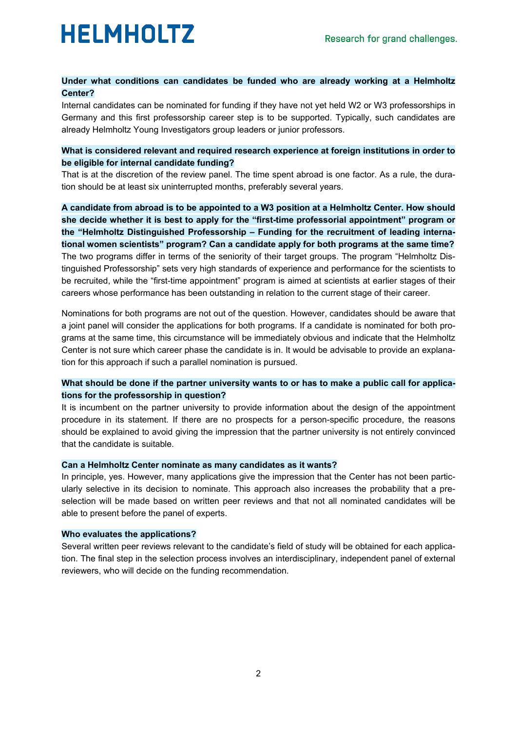

# **Under what conditions can candidates be funded who are already working at a Helmholtz Center?**

Internal candidates can be nominated for funding if they have not yet held W2 or W3 professorships in Germany and this first professorship career step is to be supported. Typically, such candidates are already Helmholtz Young Investigators group leaders or junior professors.

### **What is considered relevant and required research experience at foreign institutions in order to be eligible for internal candidate funding?**

That is at the discretion of the review panel. The time spent abroad is one factor. As a rule, the duration should be at least six uninterrupted months, preferably several years.

**A candidate from abroad is to be appointed to a W3 position at a Helmholtz Center. How should she decide whether it is best to apply for the "first-time professorial appointment" program or the "Helmholtz Distinguished Professorship – Funding for the recruitment of leading international women scientists" program? Can a candidate apply for both programs at the same time?** The two programs differ in terms of the seniority of their target groups. The program "Helmholtz Distinguished Professorship" sets very high standards of experience and performance for the scientists to be recruited, while the "first-time appointment" program is aimed at scientists at earlier stages of their careers whose performance has been outstanding in relation to the current stage of their career.

Nominations for both programs are not out of the question. However, candidates should be aware that a joint panel will consider the applications for both programs. If a candidate is nominated for both programs at the same time, this circumstance will be immediately obvious and indicate that the Helmholtz Center is not sure which career phase the candidate is in. It would be advisable to provide an explanation for this approach if such a parallel nomination is pursued.

# **What should be done if the partner university wants to or has to make a public call for applications for the professorship in question?**

It is incumbent on the partner university to provide information about the design of the appointment procedure in its statement. If there are no prospects for a person-specific procedure, the reasons should be explained to avoid giving the impression that the partner university is not entirely convinced that the candidate is suitable.

#### **Can a Helmholtz Center nominate as many candidates as it wants?**

In principle, yes. However, many applications give the impression that the Center has not been particularly selective in its decision to nominate. This approach also increases the probability that a preselection will be made based on written peer reviews and that not all nominated candidates will be able to present before the panel of experts.

#### **Who evaluates the applications?**

Several written peer reviews relevant to the candidate's field of study will be obtained for each application. The final step in the selection process involves an interdisciplinary, independent panel of external reviewers, who will decide on the funding recommendation.